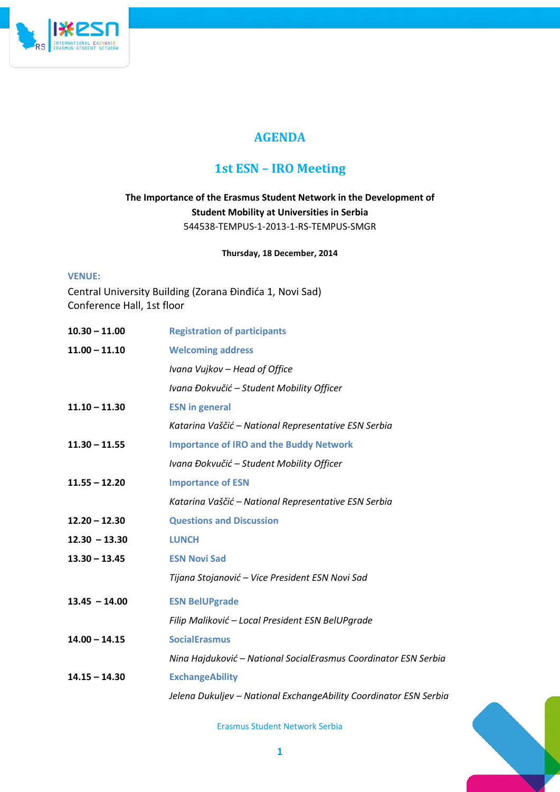

# **AGENDA**

# **1st ESN – IRO Meeting**

## **The Importance of the Erasmus Student Network in the Development of Student Mobility at Universities in Serbia** 544538-TEMPUS-1-2013-1-RS-TEMPUS-SMGR

### **Thursday, 18 December, 2014**

### **VENUE:**

Central University Building (Zorana Đinđića 1, Novi Sad) Conference Hall, 1st floor

| $10.30 - 11.00$ | <b>Registration of participants</b>                               |
|-----------------|-------------------------------------------------------------------|
| $11.00 - 11.10$ | <b>Welcoming address</b>                                          |
|                 | Ivana Vujkov - Head of Office                                     |
|                 | Ivana Đokvučić - Student Mobility Officer                         |
| $11.10 - 11.30$ | <b>ESN in general</b>                                             |
|                 | Katarina Vaščić – National Representative ESN Serbia              |
| $11.30 - 11.55$ | <b>Importance of IRO and the Buddy Network</b>                    |
|                 | Ivana Đokvučić - Student Mobility Officer                         |
| $11.55 - 12.20$ | <b>Importance of ESN</b>                                          |
|                 | Katarina Vaščić – National Representative ESN Serbia              |
| $12.20 - 12.30$ | <b>Questions and Discussion</b>                                   |
| $12.30 - 13.30$ | <b>LUNCH</b>                                                      |
| $13.30 - 13.45$ | <b>ESN Novi Sad</b>                                               |
|                 | Tijana Stojanović – Vice President ESN Novi Sad                   |
| $13.45 - 14.00$ | <b>ESN BelUPgrade</b>                                             |
|                 | Filip Maliković - Local President ESN BelUPgrade                  |
| $14.00 - 14.15$ | <b>SocialErasmus</b>                                              |
|                 | Nina Hajduković - National SocialErasmus Coordinator ESN Serbia   |
| $14.15 - 14.30$ | <b>ExchangeAbility</b>                                            |
|                 | Jelena Dukuljev - National ExchangeAbility Coordinator ESN Serbia |

Erasmus Student Network Serbia